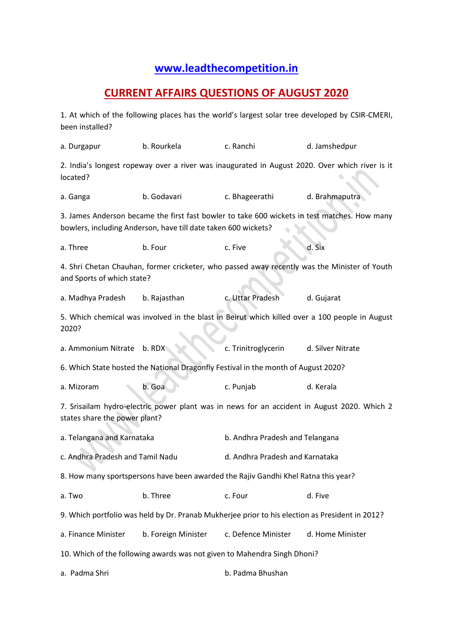## **[www.leadthecompetition.in](http://www.leadthecompetition.in/)**

## **CURRENT AFFAIRS QUESTIONS OF AUGUST 2020**

1. At which of the following places has the world's largest solar tree developed by CSIR-CMERI, been installed?

a. Durgapur b. Rourkela c. Ranchi d. Jamshedpur 2. India's longest ropeway over a river was inaugurated in August 2020. Over which river is it located? a. Ganga b. Godavari c. Bhageerathi d. Brahmaputra 3. James Anderson became the first fast bowler to take 600 wickets in test matches. How many bowlers, including Anderson, have till date taken 600 wickets? a. Three example b. Four c. Five the d. Six 4. Shri Chetan Chauhan, former cricketer, who passed away recently was the Minister of Youth and Sports of which state? a. Madhya Pradesh b. Rajasthan c. Uttar Pradesh d. Gujarat 5. Which chemical was involved in the blast in Beirut which killed over a 100 people in August 2020? a. Ammonium Nitrate b. RDX c. Trinitroglycerin d. Silver Nitrate 6. Which State hosted the National Dragonfly Festival in the month of August 2020? a. Mizoram b. Goa c. Punjab d. Kerala 7. Srisailam hydro-electric power plant was in news for an accident in August 2020. Which 2 states share the power plant? a. Telangana and Karnataka b. Andhra Pradesh and Telangana c. Andhra Pradesh and Tamil Nadu d. Andhra Pradesh and Karnataka 8. How many sportspersons have been awarded the Rajiv Gandhi Khel Ratna this year? a. Two **b. Three** c. Four c. Four d. Five 9. Which portfolio was held by Dr. Pranab Mukherjee prior to his election as President in 2012? a. Finance Minister b. Foreign Minister c. Defence Minister d. Home Minister 10. Which of the following awards was not given to Mahendra Singh Dhoni? a. Padma Shri b. Padma Bhushan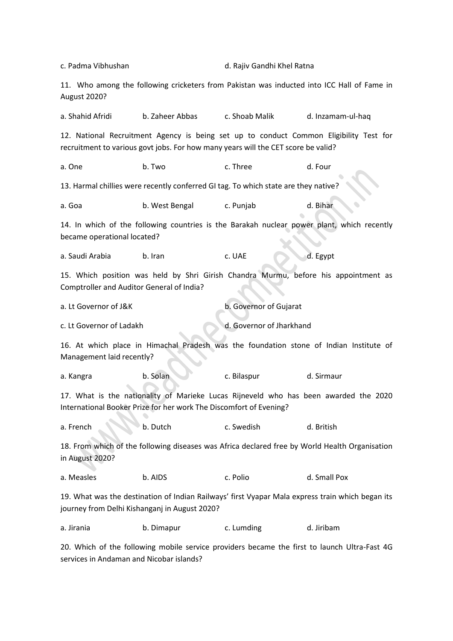c. Padma Vibhushan d. Rajiv Gandhi Khel Ratna 11. Who among the following cricketers from Pakistan was inducted into ICC Hall of Fame in August 2020? a. Shahid Afridi b. Zaheer Abbas c. Shoab Malik d. Inzamam-ul-haq 12. National Recruitment Agency is being set up to conduct Common Eligibility Test for recruitment to various govt jobs. For how many years will the CET score be valid? a. One and the b. Two c. Three the case of the case of the case of the case of the case of the case of the cas 13. Harmal chillies were recently conferred GI tag. To which state are they native? a. Goa b. West Bengal c. Punjab d. Bihar 14. In which of the following countries is the Barakah nuclear power plant, which recently became operational located? a. Saudi Arabia b. Iran c. UAE d. Egypt 15. Which position was held by Shri Girish Chandra Murmu, before his appointment as Comptroller and Auditor General of India? a. Lt Governor of J&K b. Governor of Gujarat c. Lt Governor of Ladakh d. Governor of Jharkhand 16. At which place in Himachal Pradesh was the foundation stone of Indian Institute of Management laid recently? a. Kangra b. Solan c. Bilaspur d. Sirmaur 17. What is the nationality of Marieke Lucas Rijneveld who has been awarded the 2020 International Booker Prize for her work The Discomfort of Evening? a. French b. Dutch c. Swedish d. British 18. From which of the following diseases was Africa declared free by World Health Organisation in August 2020? a. Measles b. AIDS c. Polio d. Small Pox 19. What was the destination of Indian Railways' first Vyapar Mala express train which began its journey from Delhi Kishanganj in August 2020? a. Jirania b. Dimapur c. Lumding d. Jiribam

20. Which of the following mobile service providers became the first to launch Ultra-Fast 4G services in Andaman and Nicobar islands?